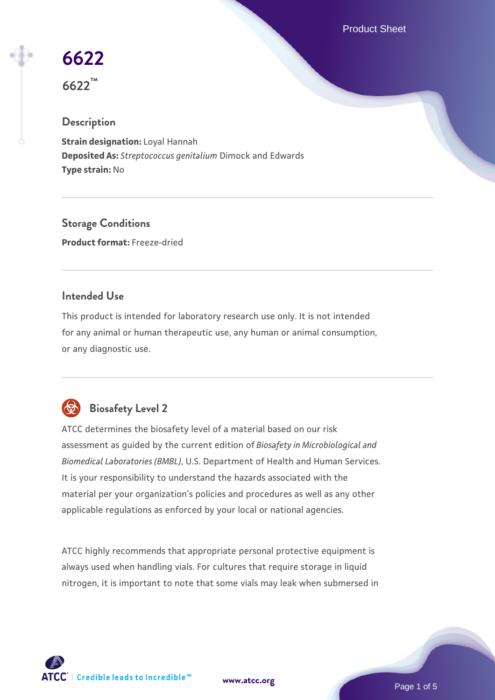Product Sheet

# **[6622](https://www.atcc.org/products/6622)**

**6622™**

# **Description**

**Strain designation:** Loyal Hannah **Deposited As:** *Streptococcus genitalium* Dimock and Edwards **Type strain:** No

**Storage Conditions Product format:** Freeze-dried

# **Intended Use**

This product is intended for laboratory research use only. It is not intended for any animal or human therapeutic use, any human or animal consumption, or any diagnostic use.



# **Biosafety Level 2**

ATCC determines the biosafety level of a material based on our risk assessment as guided by the current edition of *Biosafety in Microbiological and Biomedical Laboratories (BMBL)*, U.S. Department of Health and Human Services. It is your responsibility to understand the hazards associated with the material per your organization's policies and procedures as well as any other applicable regulations as enforced by your local or national agencies.

ATCC highly recommends that appropriate personal protective equipment is always used when handling vials. For cultures that require storage in liquid nitrogen, it is important to note that some vials may leak when submersed in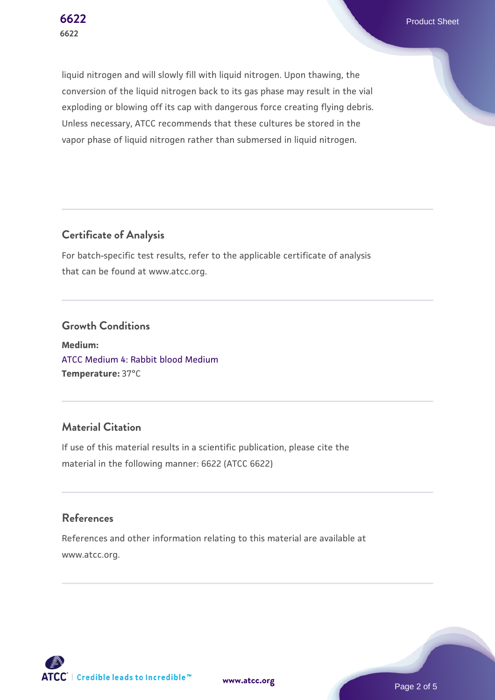**[6622](https://www.atcc.org/products/6622)** Product Sheet

liquid nitrogen and will slowly fill with liquid nitrogen. Upon thawing, the conversion of the liquid nitrogen back to its gas phase may result in the vial exploding or blowing off its cap with dangerous force creating flying debris. Unless necessary, ATCC recommends that these cultures be stored in the vapor phase of liquid nitrogen rather than submersed in liquid nitrogen.

# **Certificate of Analysis**

For batch-specific test results, refer to the applicable certificate of analysis that can be found at www.atcc.org.

#### **Growth Conditions**

**Medium:**  [ATCC Medium 4: Rabbit blood Medium](https://www.atcc.org/-/media/product-assets/documents/microbial-media-formulations/4/atcc-medium-0004.pdf?rev=c76fa526d381497695ce581b483e9720) **Temperature:** 37°C

# **Material Citation**

If use of this material results in a scientific publication, please cite the material in the following manner: 6622 (ATCC 6622)

#### **References**

References and other information relating to this material are available at www.atcc.org.



**[www.atcc.org](http://www.atcc.org)**

Page 2 of 5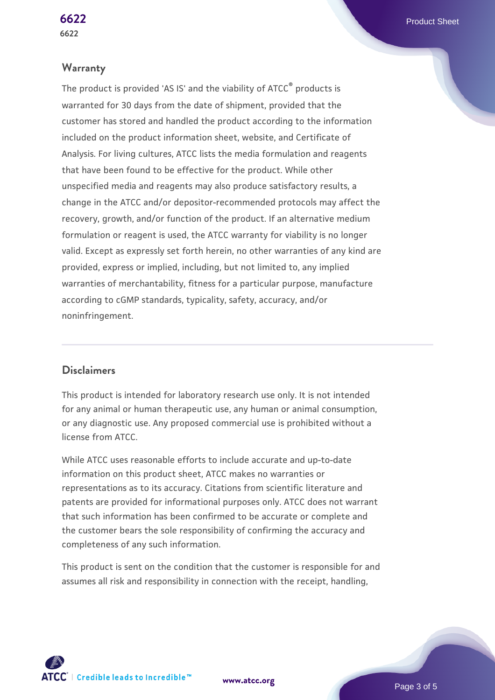#### **Warranty**

The product is provided 'AS IS' and the viability of ATCC® products is warranted for 30 days from the date of shipment, provided that the customer has stored and handled the product according to the information included on the product information sheet, website, and Certificate of Analysis. For living cultures, ATCC lists the media formulation and reagents that have been found to be effective for the product. While other unspecified media and reagents may also produce satisfactory results, a change in the ATCC and/or depositor-recommended protocols may affect the recovery, growth, and/or function of the product. If an alternative medium formulation or reagent is used, the ATCC warranty for viability is no longer valid. Except as expressly set forth herein, no other warranties of any kind are provided, express or implied, including, but not limited to, any implied warranties of merchantability, fitness for a particular purpose, manufacture according to cGMP standards, typicality, safety, accuracy, and/or noninfringement.

#### **Disclaimers**

This product is intended for laboratory research use only. It is not intended for any animal or human therapeutic use, any human or animal consumption, or any diagnostic use. Any proposed commercial use is prohibited without a license from ATCC.

While ATCC uses reasonable efforts to include accurate and up-to-date information on this product sheet, ATCC makes no warranties or representations as to its accuracy. Citations from scientific literature and patents are provided for informational purposes only. ATCC does not warrant that such information has been confirmed to be accurate or complete and the customer bears the sole responsibility of confirming the accuracy and completeness of any such information.

This product is sent on the condition that the customer is responsible for and assumes all risk and responsibility in connection with the receipt, handling,

**[www.atcc.org](http://www.atcc.org)**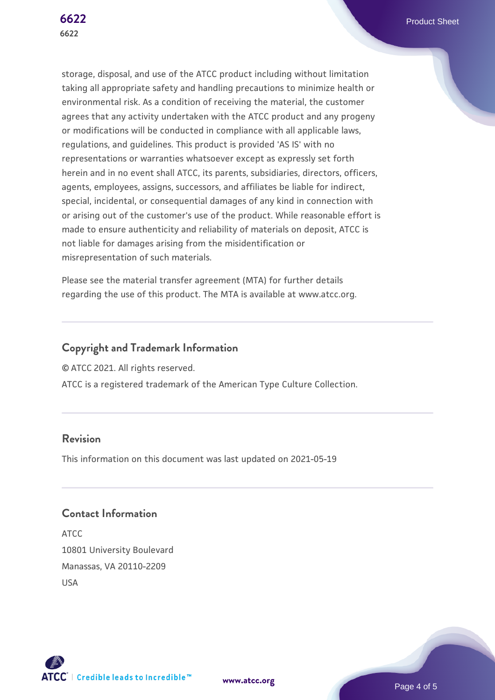storage, disposal, and use of the ATCC product including without limitation taking all appropriate safety and handling precautions to minimize health or environmental risk. As a condition of receiving the material, the customer agrees that any activity undertaken with the ATCC product and any progeny or modifications will be conducted in compliance with all applicable laws, regulations, and guidelines. This product is provided 'AS IS' with no representations or warranties whatsoever except as expressly set forth herein and in no event shall ATCC, its parents, subsidiaries, directors, officers, agents, employees, assigns, successors, and affiliates be liable for indirect, special, incidental, or consequential damages of any kind in connection with or arising out of the customer's use of the product. While reasonable effort is made to ensure authenticity and reliability of materials on deposit, ATCC is not liable for damages arising from the misidentification or misrepresentation of such materials.

Please see the material transfer agreement (MTA) for further details regarding the use of this product. The MTA is available at www.atcc.org.

#### **Copyright and Trademark Information**

© ATCC 2021. All rights reserved.

ATCC is a registered trademark of the American Type Culture Collection.

## **Revision**

This information on this document was last updated on 2021-05-19

## **Contact Information**

ATCC 10801 University Boulevard Manassas, VA 20110-2209 USA